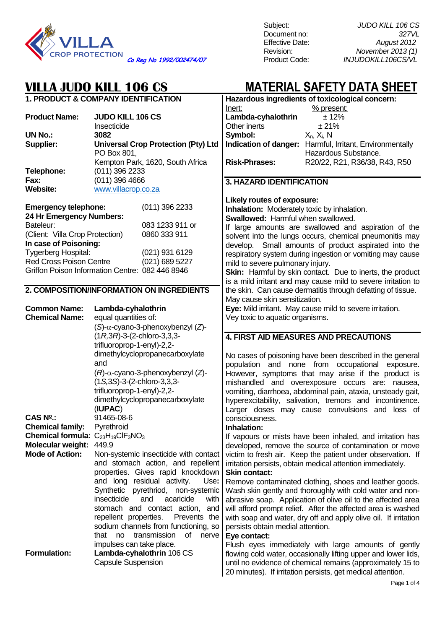

Subject: *JUDO KILL 106 CS* Document no: *327VL*

| <b>1. PRODUCT &amp; COMPANY IDENTIFICATION</b><br>Inert:<br>% present:<br><b>Product Name:</b><br>Lambda-cyhalothrin<br><b>JUDO KILL 106 CS</b><br>± 12%  |                                                 |  |  |
|-----------------------------------------------------------------------------------------------------------------------------------------------------------|-------------------------------------------------|--|--|
|                                                                                                                                                           | Hazardous ingredients of toxicological concern: |  |  |
|                                                                                                                                                           |                                                 |  |  |
|                                                                                                                                                           |                                                 |  |  |
| Other inerts<br>±21%<br>Insecticide                                                                                                                       |                                                 |  |  |
| Symbol:<br><b>UN No.:</b><br>3082<br>$X_n$ , $X_i$ , N                                                                                                    |                                                 |  |  |
| Indication of danger: Harmful, Irritant, Environmentally<br>Supplier:<br><b>Universal Crop Protection (Pty) Ltd</b>                                       |                                                 |  |  |
| PO Box 801,<br>Hazardous Substance.                                                                                                                       |                                                 |  |  |
| Kempton Park, 1620, South Africa<br><b>Risk-Phrases:</b><br>R20/22, R21, R36/38, R43, R50                                                                 |                                                 |  |  |
| Telephone:<br>(011) 396 2233                                                                                                                              |                                                 |  |  |
| $(011)$ 396 4666<br>Fax:                                                                                                                                  |                                                 |  |  |
| 3. HAZARD IDENTIFICATION<br>www.villacrop.co.za<br><b>Website:</b>                                                                                        |                                                 |  |  |
|                                                                                                                                                           |                                                 |  |  |
| Likely routes of exposure:                                                                                                                                |                                                 |  |  |
| $(011)$ 396 2233<br><b>Emergency telephone:</b><br>Inhalation: Moderately toxic by inhalation.                                                            |                                                 |  |  |
| 24 Hr Emergency Numbers:<br>Swallowed: Harmful when swallowed.                                                                                            |                                                 |  |  |
| Bateleur:<br>083 1233 911 or<br>If large amounts are swallowed and aspiration of the                                                                      |                                                 |  |  |
| 0860 333 911<br>(Client: Villa Crop Protection)<br>solvent into the lungs occurs, chemical pneumonitis may                                                |                                                 |  |  |
| In case of Poisoning:<br>develop. Small amounts of product aspirated into the                                                                             |                                                 |  |  |
| Tygerberg Hospital:<br>(021) 931 6129<br>respiratory system during ingestion or vomiting may cause                                                        |                                                 |  |  |
| Red Cross Poison Centre<br>(021) 689 5227<br>mild to severe pulmonary injury.                                                                             |                                                 |  |  |
| Griffon Poison Information Centre: 082 446 8946<br>Skin: Harmful by skin contact. Due to inerts, the product                                              |                                                 |  |  |
| is a mild irritant and may cause mild to severe irritation to                                                                                             |                                                 |  |  |
| 2. COMPOSITION/INFORMATION ON INGREDIENTS<br>the skin. Can cause dermatitis through defatting of tissue.                                                  |                                                 |  |  |
| May cause skin sensitization.                                                                                                                             |                                                 |  |  |
| Eye: Mild irritant. May cause mild to severe irritation.<br><b>Common Name:</b><br>Lambda-cyhalothrin                                                     |                                                 |  |  |
|                                                                                                                                                           |                                                 |  |  |
|                                                                                                                                                           |                                                 |  |  |
| <b>Chemical Name:</b><br>equal quantities of:<br>Vey toxic to aquatic organisms.                                                                          |                                                 |  |  |
| (S)-α-cyano-3-phenoxybenzyl (Z)-                                                                                                                          |                                                 |  |  |
| $(1R,3R)$ -3- $(2$ -chloro-3,3,3-<br><b>4. FIRST AID MEASURES AND PRECAUTIONS</b>                                                                         |                                                 |  |  |
| trifluoroprop-1-enyl)-2,2-                                                                                                                                |                                                 |  |  |
| dimethylcyclopropanecarboxylate<br>No cases of poisoning have been described in the general                                                               |                                                 |  |  |
| and<br>population and none from occupational exposure.                                                                                                    |                                                 |  |  |
| $(R)$ - $\alpha$ -cyano-3-phenoxybenzyl (Z)-<br>However, symptoms that may arise if the product is                                                        |                                                 |  |  |
| $(1S, 3S) - 3 - (2-chloro-3, 3, 3-d)$                                                                                                                     |                                                 |  |  |
| mishandled and overexposure occurs are: nausea,                                                                                                           |                                                 |  |  |
| trifluoroprop-1-enyl)-2,2-<br>vomiting, diarrhoea, abdominal pain, ataxia, unsteady gait,                                                                 |                                                 |  |  |
| dimethylcyclopropanecarboxylate<br>hyperexcitability, salivation, tremors and incontinence.                                                               |                                                 |  |  |
| (IUPAC)<br>Larger doses may cause convulsions and loss of                                                                                                 |                                                 |  |  |
| $CAS No$ .:<br>91465-08-6<br>consciousness.                                                                                                               |                                                 |  |  |
| <b>Chemical family:</b><br>Pyrethroid<br>Inhalation:                                                                                                      |                                                 |  |  |
| Chemical formula: C <sub>23</sub> H <sub>19</sub> CIF <sub>3</sub> NO <sub>3</sub><br>If vapours or mists have been inhaled, and irritation has           |                                                 |  |  |
| <b>Molecular weight:</b><br>449.9<br>developed, remove the source of contamination or move                                                                |                                                 |  |  |
| <b>Mode of Action:</b><br>Non-systemic insecticide with contact<br>victim to fresh air. Keep the patient under observation. If                            |                                                 |  |  |
| and stomach action, and repellent<br>irritation persists, obtain medical attention immediately.                                                           |                                                 |  |  |
| properties. Gives rapid knockdown<br><b>Skin contact:</b>                                                                                                 |                                                 |  |  |
| and long residual activity.<br>Use:<br>Remove contaminated clothing, shoes and leather goods.                                                             |                                                 |  |  |
| Synthetic pyrethriod, non-systemic<br>Wash skin gently and thoroughly with cold water and non-                                                            |                                                 |  |  |
| insecticide<br>and<br>acaricide<br>with<br>abrasive soap. Application of olive oil to the affected area                                                   |                                                 |  |  |
| stomach and contact action,<br>will afford prompt relief. After the affected area is washed<br>and                                                        |                                                 |  |  |
| repellent properties.<br>Prevents the<br>with soap and water, dry off and apply olive oil. If irritation                                                  |                                                 |  |  |
| sodium channels from functioning, so<br>persists obtain medial attention.                                                                                 |                                                 |  |  |
| that no<br>transmission<br>0f<br>nerve<br>Eye contact:                                                                                                    |                                                 |  |  |
| impulses can take place.                                                                                                                                  |                                                 |  |  |
| Flush eyes immediately with large amounts of gently<br><b>Formulation:</b><br>Lambda-cyhalothrin 106 CS                                                   |                                                 |  |  |
| flowing cold water, occasionally lifting upper and lower lids,<br><b>Capsule Suspension</b><br>until no evidence of chemical remains (approximately 15 to |                                                 |  |  |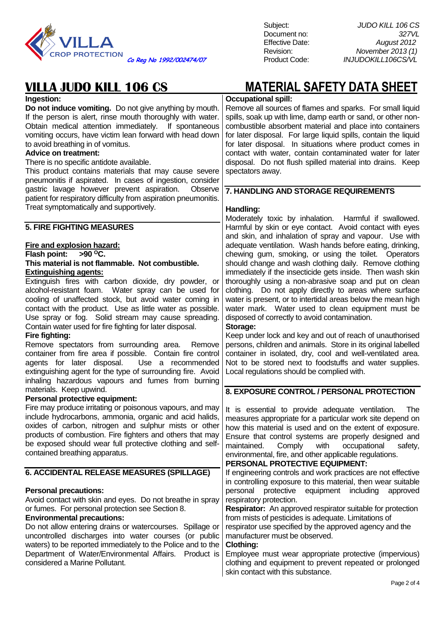

Subject: *JUDO KILL 106 CS* Document no: *327VL*

| Ingestion:                                                                                                               | <b>Occupational spill:</b>                                                                                     |
|--------------------------------------------------------------------------------------------------------------------------|----------------------------------------------------------------------------------------------------------------|
| Do not induce vomiting. Do not give anything by mouth.                                                                   | Remove all sources of flames and sparks. For small liquid                                                      |
| If the person is alert, rinse mouth thoroughly with water.                                                               | spills, soak up with lime, damp earth or sand, or other non-                                                   |
| Obtain medical attention immediately. If spontaneous                                                                     | combustible absorbent material and place into containers                                                       |
| vomiting occurs, have victim lean forward with head down                                                                 | for later disposal. For large liquid spills, contain the liquid                                                |
| to avoid breathing in of vomitus.                                                                                        | for later disposal. In situations where product comes in                                                       |
| <b>Advice on treatment:</b>                                                                                              | contact with water, contain contaminated water for later                                                       |
| There is no specific antidote available.                                                                                 | disposal. Do not flush spilled material into drains. Keep                                                      |
| This product contains materials that may cause severe                                                                    | spectators away.                                                                                               |
| pneumonitis if aspirated. In cases of ingestion, consider                                                                |                                                                                                                |
| gastric lavage however prevent aspiration.<br>Observe<br>patient for respiratory difficulty from aspiration pneumonitis. | 7. HANDLING AND STORAGE REQUIREMENTS                                                                           |
| Treat symptomatically and supportively.                                                                                  |                                                                                                                |
|                                                                                                                          | Handling:                                                                                                      |
|                                                                                                                          | Moderately toxic by inhalation. Harmful if swallowed.                                                          |
| <b>5. FIRE FIGHTING MEASURES</b>                                                                                         | Harmful by skin or eye contact. Avoid contact with eyes                                                        |
|                                                                                                                          | and skin, and inhalation of spray and vapour. Use with                                                         |
| Fire and explosion hazard:<br>$>90^{\circ}$ C.                                                                           | adequate ventilation. Wash hands before eating, drinking,                                                      |
| Flash point:<br>This material is not flammable. Not combustible.                                                         | chewing gum, smoking, or using the toilet. Operators<br>should change and wash clothing daily. Remove clothing |
| <b>Extinguishing agents:</b>                                                                                             | immediately if the insecticide gets inside. Then wash skin                                                     |
| Extinguish fires with carbon dioxide, dry powder, or                                                                     | thoroughly using a non-abrasive soap and put on clean                                                          |
| alcohol-resistant foam. Water spray can be used for                                                                      | clothing. Do not apply directly to areas where surface                                                         |
| cooling of unaffected stock, but avoid water coming in                                                                   | water is present, or to intertidal areas below the mean high                                                   |
| contact with the product. Use as little water as possible.                                                               | water mark. Water used to clean equipment must be                                                              |
| Use spray or fog. Solid stream may cause spreading.                                                                      | disposed of correctly to avoid contamination.                                                                  |
| Contain water used for fire fighting for later disposal.                                                                 | Storage:                                                                                                       |
| Fire fighting:                                                                                                           | Keep under lock and key and out of reach of unauthorised                                                       |
| Remove spectators from surrounding area.<br>Remove                                                                       | persons, children and animals. Store in its original labelled                                                  |
| container from fire area if possible. Contain fire control                                                               | container in isolated, dry, cool and well-ventilated area.                                                     |
| agents for later disposal.<br>Use a recommended                                                                          | Not to be stored next to foodstuffs and water supplies.                                                        |
| extinguishing agent for the type of surrounding fire. Avoid                                                              | Local regulations should be complied with.                                                                     |
| inhaling hazardous vapours and fumes from burning                                                                        |                                                                                                                |
| materials. Keep upwind.                                                                                                  | 8. EXPOSURE CONTROL / PERSONAL PROTECTION                                                                      |
| Personal protective equipment:                                                                                           |                                                                                                                |
| Fire may produce irritating or poisonous vapours, and may                                                                | It is essential to provide adequate ventilation.<br>The                                                        |
| include hydrocarbons, ammonia, organic and acid halids,                                                                  | measures appropriate for a particular work site depend on                                                      |
| oxides of carbon, nitrogen and sulphur mists or other                                                                    | how this material is used and on the extent of exposure.                                                       |
| products of combustion. Fire fighters and others that may                                                                | Ensure that control systems are properly designed and                                                          |
| be exposed should wear full protective clothing and self-                                                                | maintained.<br>Comply<br>with<br>occupational<br>safety,                                                       |
| contained breathing apparatus.                                                                                           | environmental, fire, and other applicable regulations.                                                         |
|                                                                                                                          | PERSONAL PROTECTIVE EQUIPMENT:                                                                                 |
| 6. ACCIDENTAL RELEASE MEASURES (SPILLAGE)                                                                                | If engineering controls and work practices are not effective                                                   |
|                                                                                                                          | in controlling exposure to this material, then wear suitable                                                   |
| <b>Personal precautions:</b>                                                                                             | protective<br>equipment including<br>personal<br>approved                                                      |
| Avoid contact with skin and eyes. Do not breathe in spray                                                                | respiratory protection.                                                                                        |
| or fumes. For personal protection see Section 8.                                                                         | <b>Respirator:</b> An approved respirator suitable for protection                                              |
| <b>Environmental precautions:</b>                                                                                        | from mists of pesticides is adequate. Limitations of                                                           |
| Do not allow entering drains or watercourses. Spillage or                                                                | respirator use specified by the approved agency and the                                                        |
| uncontrolled discharges into water courses (or public                                                                    | manufacturer must be observed.                                                                                 |
| waters) to be reported immediately to the Police and to the                                                              | <b>Clothing:</b>                                                                                               |
| Department of Water/Environmental Affairs.<br>Product is                                                                 | Employee must wear appropriate protective (impervious)                                                         |
| considered a Marine Pollutant.                                                                                           | clothing and equipment to prevent repeated or prolonged                                                        |
|                                                                                                                          | skin contact with this substance.                                                                              |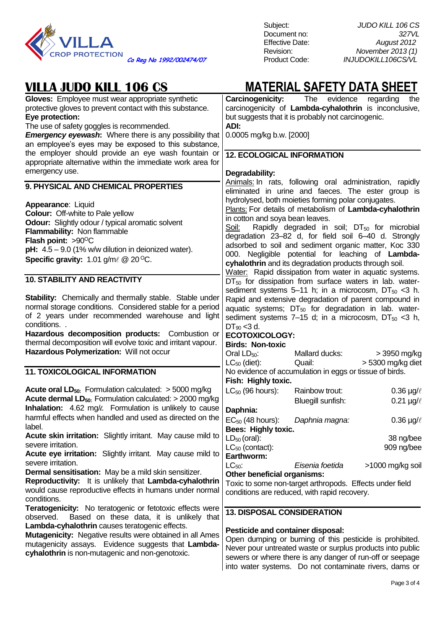

| Gloves: Employee must wear appropriate synthetic<br>protective gloves to prevent contact with this substance.<br>Eye protection:<br>The use of safety goggles is recommended.<br><b>Emergency eyewash:</b> Where there is any possibility that<br>an employee's eyes may be exposed to this substance,                        | <b>Carcinogenicity:</b> The evidence<br>regarding<br>the<br>carcinogenicity of Lambda-cyhalothrin is inconclusive,<br>but suggests that it is probably not carcinogenic.<br>ADI:<br>0.0005 mg/kg b.w. [2000]                                                                                                                                                                                                                                    |  |
|-------------------------------------------------------------------------------------------------------------------------------------------------------------------------------------------------------------------------------------------------------------------------------------------------------------------------------|-------------------------------------------------------------------------------------------------------------------------------------------------------------------------------------------------------------------------------------------------------------------------------------------------------------------------------------------------------------------------------------------------------------------------------------------------|--|
| the employer should provide an eye wash fountain or                                                                                                                                                                                                                                                                           | <b>12. ECOLOGICAL INFORMATION</b>                                                                                                                                                                                                                                                                                                                                                                                                               |  |
| appropriate alternative within the immediate work area for<br>emergency use.                                                                                                                                                                                                                                                  |                                                                                                                                                                                                                                                                                                                                                                                                                                                 |  |
| 9. PHYSICAL AND CHEMICAL PROPERTIES                                                                                                                                                                                                                                                                                           | Degradability:<br>Animals: In rats, following oral administration, rapidly                                                                                                                                                                                                                                                                                                                                                                      |  |
|                                                                                                                                                                                                                                                                                                                               | eliminated in urine and faeces. The ester group is                                                                                                                                                                                                                                                                                                                                                                                              |  |
| Appearance: Liquid<br><b>Colour:</b> Off-white to Pale yellow<br><b>Odour:</b> Slightly odour / typical aromatic solvent<br>Flammability: Non flammable<br>Flash point: $>90^{\circ}$ C<br>$pH: 4.5 - 9.0$ (1% w/w dilution in deionized water).<br>Specific gravity: $1.01$ g/m $\ell \, \textcircled{2}$ 20 <sup>o</sup> C. | hydrolysed, both moieties forming polar conjugates.<br>Plants: For details of metabolism of Lambda-cyhalothrin<br>in cotton and soya bean leaves.<br>Rapidly degraded in soil; $DT_{50}$ for microbial<br>Soil:<br>degradation 23-82 d, for field soil 6-40 d. Strongly<br>adsorbed to soil and sediment organic matter, Koc 330<br>000. Negligible potential for leaching of Lambda-<br>cyhalothrin and its degradation products through soil. |  |
|                                                                                                                                                                                                                                                                                                                               | Water: Rapid dissipation from water in aquatic systems.                                                                                                                                                                                                                                                                                                                                                                                         |  |
| <b>10. STABILITY AND REACTIVITY</b>                                                                                                                                                                                                                                                                                           | $DT_{50}$ for dissipation from surface waters in lab. water-                                                                                                                                                                                                                                                                                                                                                                                    |  |
| Stability: Chemically and thermally stable. Stable under<br>normal storage conditions. Considered stable for a period<br>of 2 years under recommended warehouse and light<br>conditions<br>Hazardous decomposition products: Combustion or<br>thermal decomposition will evolve toxic and irritant vapour.                    | sediment systems 5-11 h; in a microcosm, $DT_{50}$ <3 h.<br>Rapid and extensive degradation of parent compound in<br>aquatic systems; $DT_{50}$ for degradation in lab. water-<br>sediment systems 7–15 d; in a microcosm, $DT_{50}$ <3 h,<br>$DT_{90}$ < 3 d.<br><b>ECOTOXICOLOGY:</b><br><b>Birds: Non-toxic</b>                                                                                                                              |  |
| Hazardous Polymerization: Will not occur                                                                                                                                                                                                                                                                                      | Oral $LD_{50}$ :<br>> 3950 mg/kg<br>Mallard ducks:<br>> 5300 mg/kg diet<br>$LC_{50}$ (diet):<br>Quail:                                                                                                                                                                                                                                                                                                                                          |  |
| <b>11. TOXICOLOGICAL INFORMATION</b>                                                                                                                                                                                                                                                                                          | No evidence of accumulation in eggs or tissue of birds.<br>Fish: Highly toxic.                                                                                                                                                                                                                                                                                                                                                                  |  |
| <b>Acute oral LD</b> <sub>50:</sub> Formulation calculated: $>$ 5000 mg/kg                                                                                                                                                                                                                                                    | $LC_{50}$ (96 hours):<br>0.36 $\mu$ g/ $\ell$<br>Rainbow trout:                                                                                                                                                                                                                                                                                                                                                                                 |  |
| <b>Acute dermal LD</b> <sub>50</sub> : Formulation calculated: $>$ 2000 mg/kg<br>Inhalation: 4.62 mg/ $\ell$ . Formulation is unlikely to cause                                                                                                                                                                               | Bluegill sunfish:<br>0.21 $\mu$ g/ $\ell$<br>Daphnia:                                                                                                                                                                                                                                                                                                                                                                                           |  |
| harmful effects when handled and used as directed on the<br>label.                                                                                                                                                                                                                                                            | $EC_{50}$ (48 hours):<br>0.36 $\mu$ g/ $\ell$<br>Daphnia magna:<br>Bees: Highly toxic.                                                                                                                                                                                                                                                                                                                                                          |  |
| Acute skin irritation: Slightly irritant. May cause mild to                                                                                                                                                                                                                                                                   | $LD_{50}$ (oral):<br>38 ng/bee                                                                                                                                                                                                                                                                                                                                                                                                                  |  |
| severe irritation.<br><b>Acute eye irritation:</b> Slightly irritant. May cause mild to                                                                                                                                                                                                                                       | $LC_{50}$ (contact):<br>909 ng/bee                                                                                                                                                                                                                                                                                                                                                                                                              |  |
| severe irritation.<br><b>Dermal sensitisation:</b> May be a mild skin sensitizer.<br>Reproductivity: It is unlikely that Lambda-cyhalothrin<br>would cause reproductive effects in humans under normal<br>conditions.                                                                                                         | Earthworm:<br>$LC_{50}$ :<br>Eisenia foetida<br>>1000 mg/kg soil<br>Other beneficial organisms:<br>Toxic to some non-target arthropods. Effects under field<br>conditions are reduced, with rapid recovery.                                                                                                                                                                                                                                     |  |
| <b>Teratogenicity:</b> No teratogenic or fetotoxic effects were                                                                                                                                                                                                                                                               |                                                                                                                                                                                                                                                                                                                                                                                                                                                 |  |
| Based on these data, it is unlikely that<br>observed.<br>Lambda-cyhalothrin causes teratogenic effects.<br>Mutagenicity: Negative results were obtained in all Ames<br>mutagenicity assays. Evidence suggests that Lambda-<br>cyhalothrin is non-mutagenic and non-genotoxic.                                                 | <b>13. DISPOSAL CONSIDERATION</b><br><b>Pesticide and container disposal:</b><br>Open dumping or burning of this pesticide is prohibited.<br>Never pour untreated waste or surplus products into public<br>sewers or where there is any danger of run-off or seepage<br>into water systems. Do not contaminate rivers, dams or                                                                                                                  |  |